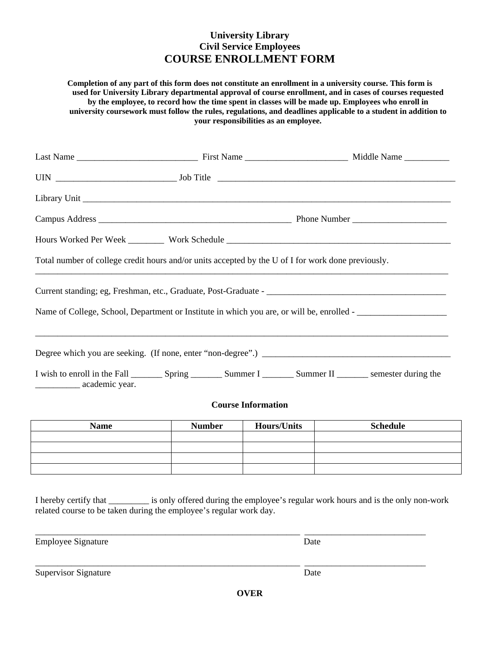## **University Library Civil Service Employees COURSE ENROLLMENT FORM**

**Completion of any part of this form does not constitute an enrollment in a university course. This form is used for University Library departmental approval of course enrollment, and in cases of courses requested by the employee, to record how the time spent in classes will be made up. Employees who enroll in university coursework must follow the rules, regulations, and deadlines applicable to a student in addition to your responsibilities as an employee.**

| Name of College, School, Department or Institute in which you are, or will be, enrolled - |
|-------------------------------------------------------------------------------------------|
|                                                                                           |
|                                                                                           |
|                                                                                           |
|                                                                                           |
|                                                                                           |
|                                                                                           |

I hereby certify that \_\_\_\_\_\_\_\_\_ is only offered during the employee's regular work hours and is the only non-work related course to be taken during the employee's regular work day.

\_\_\_\_\_\_\_\_\_\_\_\_\_\_\_\_\_\_\_\_\_\_\_\_\_\_\_\_\_\_\_\_\_\_\_\_\_\_\_\_\_\_\_\_\_\_\_\_\_\_\_\_\_\_\_\_\_\_\_ \_\_\_\_\_\_\_\_\_\_\_\_\_\_\_\_\_\_\_\_\_\_\_\_\_\_\_

\_\_\_\_\_\_\_\_\_\_\_\_\_\_\_\_\_\_\_\_\_\_\_\_\_\_\_\_\_\_\_\_\_\_\_\_\_\_\_\_\_\_\_\_\_\_\_\_\_\_\_\_\_\_\_\_\_\_\_ \_\_\_\_\_\_\_\_\_\_\_\_\_\_\_\_\_\_\_\_\_\_\_\_\_\_\_

Employee Signature Date

Supervisor Signature Date

**OVER**